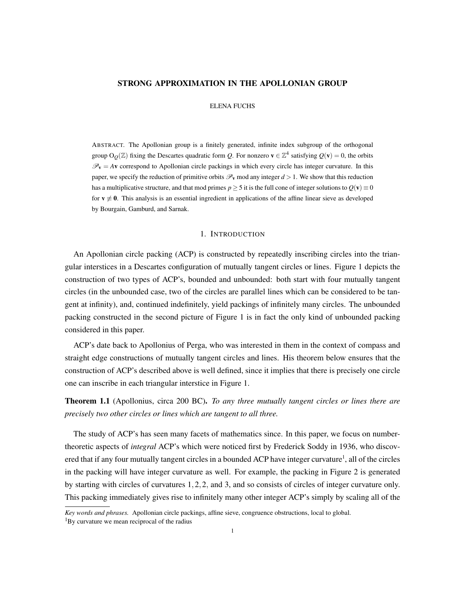## STRONG APPROXIMATION IN THE APOLLONIAN GROUP

ELENA FUCHS

ABSTRACT. The Apollonian group is a finitely generated, infinite index subgroup of the orthogonal group  $O<sub>O</sub>(\mathbb{Z})$  fixing the Descartes quadratic form *Q*. For nonzero  $\mathbf{v} \in \mathbb{Z}^4$  satisfying  $Q(\mathbf{v}) = 0$ , the orbits  $\mathcal{P}_{\mathbf{v}} = A\mathbf{v}$  correspond to Apollonian circle packings in which every circle has integer curvature. In this paper, we specify the reduction of primitive orbits  $\mathcal{P}_v$  mod any integer  $d > 1$ . We show that this reduction has a multiplicative structure, and that mod primes  $p > 5$  it is the full cone of integer solutions to  $O(\mathbf{v}) \equiv 0$ for  $v \not\equiv 0$ . This analysis is an essential ingredient in applications of the affine linear sieve as developed by Bourgain, Gamburd, and Sarnak.

## 1. INTRODUCTION

An Apollonian circle packing (ACP) is constructed by repeatedly inscribing circles into the triangular interstices in a Descartes configuration of mutually tangent circles or lines. Figure 1 depicts the construction of two types of ACP's, bounded and unbounded: both start with four mutually tangent circles (in the unbounded case, two of the circles are parallel lines which can be considered to be tangent at infinity), and, continued indefinitely, yield packings of infinitely many circles. The unbounded packing constructed in the second picture of Figure 1 is in fact the only kind of unbounded packing considered in this paper.

ACP's date back to Apollonius of Perga, who was interested in them in the context of compass and straight edge constructions of mutually tangent circles and lines. His theorem below ensures that the construction of ACP's described above is well defined, since it implies that there is precisely one circle one can inscribe in each triangular interstice in Figure 1.

Theorem 1.1 (Apollonius, circa 200 BC). *To any three mutually tangent circles or lines there are precisely two other circles or lines which are tangent to all three.*

The study of ACP's has seen many facets of mathematics since. In this paper, we focus on numbertheoretic aspects of *integral* ACP's which were noticed first by Frederick Soddy in 1936, who discovered that if any four mutually tangent circles in a bounded ACP have integer curvature<sup>1</sup>, all of the circles in the packing will have integer curvature as well. For example, the packing in Figure 2 is generated by starting with circles of curvatures 1*,*2*,*2*,* and 3, and so consists of circles of integer curvature only. This packing immediately gives rise to infinitely many other integer ACP's simply by scaling all of the

*Key words and phrases.* Apollonian circle packings, affine sieve, congruence obstructions, local to global.

<sup>&</sup>lt;sup>1</sup>By curvature we mean reciprocal of the radius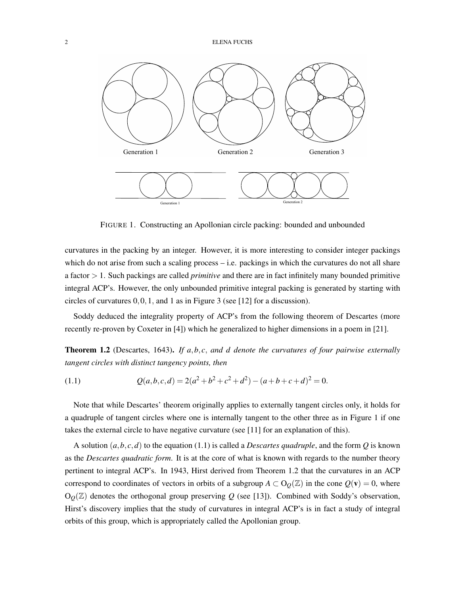

FIGURE 1. Constructing an Apollonian circle packing: bounded and unbounded

curvatures in the packing by an integer. However, it is more interesting to consider integer packings which do not arise from such a scaling process – i.e. packings in which the curvatures do not all share a factor *>* 1. Such packings are called *primitive* and there are in fact infinitely many bounded primitive integral ACP's. However, the only unbounded primitive integral packing is generated by starting with circles of curvatures 0*,*0*,*1*,* and 1 as in Figure 3 (see [12] for a discussion).

Soddy deduced the integrality property of ACP's from the following theorem of Descartes (more recently re-proven by Coxeter in [4]) which he generalized to higher dimensions in a poem in [21].

Theorem 1.2 (Descartes, 1643). *If a,b, c, and d denote the curvatures of four pairwise externally tangent circles with distinct tangency points, then*

(1.1) 
$$
Q(a,b,c,d) = 2(a^2 + b^2 + c^2 + d^2) - (a+b+c+d)^2 = 0.
$$

Note that while Descartes' theorem originally applies to externally tangent circles only, it holds for a quadruple of tangent circles where one is internally tangent to the other three as in Figure 1 if one takes the external circle to have negative curvature (see [11] for an explanation of this).

A solution  $(a, b, c, d)$  to the equation (1.1) is called a *Descartes quadruple*, and the form *Q* is known as the *Descartes quadratic form*. It is at the core of what is known with regards to the number theory pertinent to integral ACP's. In 1943, Hirst derived from Theorem 1.2 that the curvatures in an ACP correspond to coordinates of vectors in orbits of a subgroup  $A \subset O<sub>O</sub>(\mathbb{Z})$  in the cone  $Q(\mathbf{v}) = 0$ , where  $O<sub>Q</sub>(\mathbb{Z})$  denotes the orthogonal group preserving *Q* (see [13]). Combined with Soddy's observation, Hirst's discovery implies that the study of curvatures in integral ACP's is in fact a study of integral orbits of this group, which is appropriately called the Apollonian group.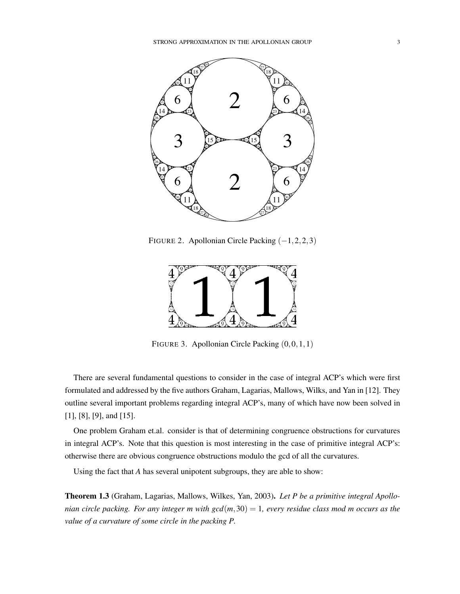

FIGURE 2. Apollonian Circle Packing (−1*,*2*,*2*,*3)



FIGURE 3. Apollonian Circle Packing (0*,*0*,*1*,*1)

There are several fundamental questions to consider in the case of integral ACP's which were first formulated and addressed by the five authors Graham, Lagarias, Mallows, Wilks, and Yan in [12]. They outline several important problems regarding integral ACP's, many of which have now been solved in [1], [8], [9], and [15].

One problem Graham et.al. consider is that of determining congruence obstructions for curvatures in integral ACP's. Note that this question is most interesting in the case of primitive integral ACP's: otherwise there are obvious congruence obstructions modulo the gcd of all the curvatures.

Using the fact that *A* has several unipotent subgroups, they are able to show:

Theorem 1.3 (Graham, Lagarias, Mallows, Wilkes, Yan, 2003). *Let P be a primitive integral Apollonian circle packing. For any integer m with gcd*(*m,*30) = 1*, every residue class mod m occurs as the value of a curvature of some circle in the packing P.*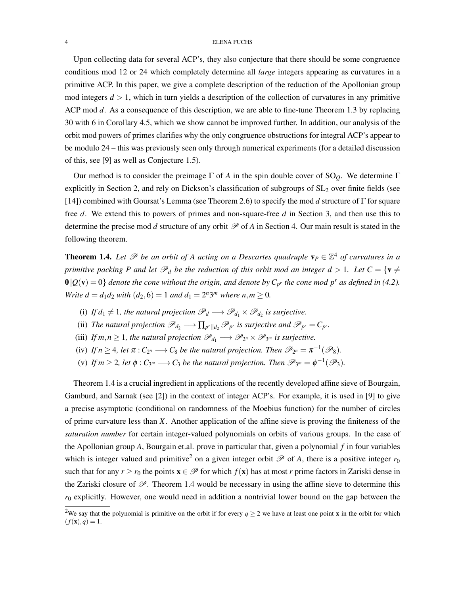Upon collecting data for several ACP's, they also conjecture that there should be some congruence conditions mod 12 or 24 which completely determine all *large* integers appearing as curvatures in a primitive ACP. In this paper, we give a complete description of the reduction of the Apollonian group mod integers  $d > 1$ , which in turn yields a description of the collection of curvatures in any primitive ACP mod *d*. As a consequence of this description, we are able to fine-tune Theorem 1.3 by replacing 30 with 6 in Corollary 4.5, which we show cannot be improved further. In addition, our analysis of the orbit mod powers of primes clarifies why the only congruence obstructions for integral ACP's appear to be modulo 24 – this was previously seen only through numerical experiments (for a detailed discussion of this, see [9] as well as Conjecture 1.5).

Our method is to consider the preimage Γ of *A* in the spin double cover of SO*Q*. We determine Γ explicitly in Section 2, and rely on Dickson's classification of subgroups of  $SL<sub>2</sub>$  over finite fields (see [14]) combined with Goursat's Lemma (see Theorem 2.6) to specify the mod *d* structure of Γ for square free *d*. We extend this to powers of primes and non-square-free *d* in Section 3, and then use this to determine the precise mod *d* structure of any orbit  $\mathcal P$  of *A* in Section 4. Our main result is stated in the following theorem.

**Theorem 1.4.** Let  $\mathcal P$  be an orbit of A acting on a Descartes quadruple  $\mathbf v_P \in \mathbb{Z}^4$  of curvatures in a *primitive packing P and let*  $\mathcal{P}_d$  *be the reduction of this orbit mod an integer*  $d > 1$ *. Let*  $C = \{v \neq 0\}$  $\mathbf{0} \vert \mathcal{Q}(\mathbf{v}) = 0$  *denote the cone without the origin, and denote by*  $C_{p'}$  *the cone mod p<sup>r</sup> as defined in (4.2). Write*  $d = d_1 d_2$  *with*  $(d_2, 6) = 1$  *and*  $d_1 = 2^n 3^m$  *where*  $n, m \ge 0$ *.* 

- (i) *If d*<sub>1</sub>  $\neq$  1*, the natural projection*  $\mathcal{P}_d \longrightarrow \mathcal{P}_{d_1} \times \mathcal{P}_{d_2}$  *is surjective.*
- (ii) *The natural projection*  $\mathscr{P}_{d_2} \longrightarrow \prod_{p^r \mid d_2} \mathscr{P}_{p^r}$  *is surjective and*  $\mathscr{P}_{p^r} = C_{p^r}$ *.*
- (iii) *If*  $m, n \geq 1$ *, the natural projection*  $\mathscr{P}_{d_1} \longrightarrow \mathscr{P}_{2^n} \times \mathscr{P}_{3^m}$  *is surjective.*
- (iv) *If*  $n \geq 4$ *, let*  $\pi$  :  $C_{2^n} \longrightarrow C_8$  *be the natural projection. Then*  $\mathscr{P}_{2^n} = \pi^{-1}(\mathscr{P}_8)$ *.*
- (v) If  $m \geq 2$ , let  $\phi : C_{3^m} \longrightarrow C_3$  be the natural projection. Then  $\mathscr{P}_{3^m} = \phi^{-1}(\mathscr{P}_3)$ .

Theorem 1.4 is a crucial ingredient in applications of the recently developed affine sieve of Bourgain, Gamburd, and Sarnak (see [2]) in the context of integer ACP's. For example, it is used in [9] to give a precise asymptotic (conditional on randomness of the Moebius function) for the number of circles of prime curvature less than *X*. Another application of the affine sieve is proving the finiteness of the *saturation number* for certain integer-valued polynomials on orbits of various groups. In the case of the Apollonian group *A*, Bourgain et.al. prove in particular that, given a polynomial *f* in four variables which is integer valued and primitive<sup>2</sup> on a given integer orbit  $\mathscr P$  of A, there is a positive integer  $r_0$ such that for any  $r \ge r_0$  the points  $\mathbf{x} \in \mathcal{P}$  for which  $f(\mathbf{x})$  has at most *r* prime factors in Zariski dense in the Zariski closure of  $\mathscr{P}$ . Theorem 1.4 would be necessary in using the affine sieve to determine this  $r_0$  explicitly. However, one would need in addition a nontrivial lower bound on the gap between the

<sup>&</sup>lt;sup>2</sup>We say that the polynomial is primitive on the orbit if for every  $q \ge 2$  we have at least one point **x** in the orbit for which  $(f(\mathbf{x}), q) = 1.$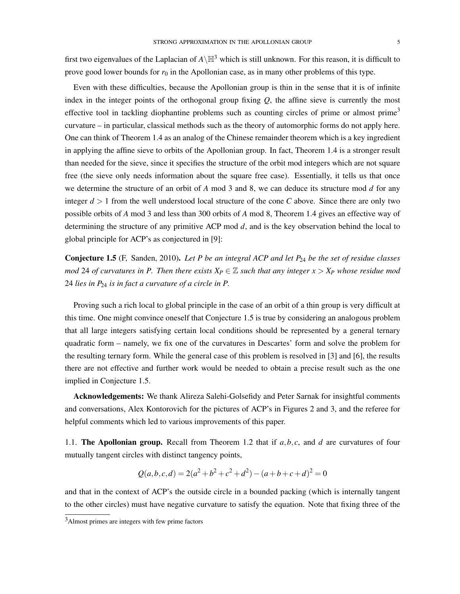first two eigenvalues of the Laplacian of  $A\backslash\mathbb{H}^3$  which is still unknown. For this reason, it is difficult to prove good lower bounds for  $r_0$  in the Apollonian case, as in many other problems of this type.

Even with these difficulties, because the Apollonian group is thin in the sense that it is of infinite index in the integer points of the orthogonal group fixing  $Q$ , the affine sieve is currently the most effective tool in tackling diophantine problems such as counting circles of prime or almost prime<sup>3</sup> curvature – in particular, classical methods such as the theory of automorphic forms do not apply here. One can think of Theorem 1.4 as an analog of the Chinese remainder theorem which is a key ingredient in applying the affine sieve to orbits of the Apollonian group. In fact, Theorem 1.4 is a stronger result than needed for the sieve, since it specifies the structure of the orbit mod integers which are not square free (the sieve only needs information about the square free case). Essentially, it tells us that once we determine the structure of an orbit of *A* mod 3 and 8, we can deduce its structure mod *d* for any integer  $d > 1$  from the well understood local structure of the cone *C* above. Since there are only two possible orbits of *A* mod 3 and less than 300 orbits of *A* mod 8, Theorem 1.4 gives an effective way of determining the structure of any primitive ACP mod *d*, and is the key observation behind the local to global principle for ACP's as conjectured in [9]:

Conjecture 1.5 (F, Sanden, 2010). *Let P be an integral ACP and let P*<sup>24</sup> *be the set of residue classes mod* 24 *of curvatures in P. Then there exists*  $X_P \in \mathbb{Z}$  *such that any integer*  $x > X_P$  *whose residue mod* 24 *lies in P*<sup>24</sup> *is in fact a curvature of a circle in P.*

Proving such a rich local to global principle in the case of an orbit of a thin group is very difficult at this time. One might convince oneself that Conjecture 1.5 is true by considering an analogous problem that all large integers satisfying certain local conditions should be represented by a general ternary quadratic form – namely, we fix one of the curvatures in Descartes' form and solve the problem for the resulting ternary form. While the general case of this problem is resolved in [3] and [6], the results there are not effective and further work would be needed to obtain a precise result such as the one implied in Conjecture 1.5.

Acknowledgements: We thank Alireza Salehi-Golsefidy and Peter Sarnak for insightful comments and conversations, Alex Kontorovich for the pictures of ACP's in Figures 2 and 3, and the referee for helpful comments which led to various improvements of this paper.

1.1. The Apollonian group. Recall from Theorem 1.2 that if *a,b, c*, and *d* are curvatures of four mutually tangent circles with distinct tangency points,

$$
Q(a,b,c,d) = 2(a^2 + b^2 + c^2 + d^2) - (a+b+c+d)^2 = 0
$$

and that in the context of ACP's the outside circle in a bounded packing (which is internally tangent to the other circles) must have negative curvature to satisfy the equation. Note that fixing three of the

<sup>3</sup>Almost primes are integers with few prime factors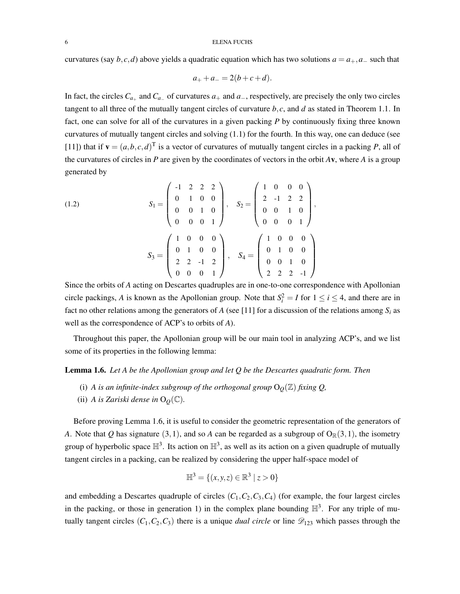curvatures (say  $b, c, d$ ) above yields a quadratic equation which has two solutions  $a = a_+, a_-$  such that

$$
a_+ + a_- = 2(b + c + d).
$$

In fact, the circles  $C_{a_+}$  and  $C_{a_-}$  of curvatures  $a_+$  and  $a_-$ , respectively, are precisely the only two circles tangent to all three of the mutually tangent circles of curvature *b, c*, and *d* as stated in Theorem 1.1. In fact, one can solve for all of the curvatures in a given packing *P* by continuously fixing three known curvatures of mutually tangent circles and solving (1.1) for the fourth. In this way, one can deduce (see [11]) that if  $\mathbf{v} = (a, b, c, d)^T$  is a vector of curvatures of mutually tangent circles in a packing *P*, all of the curvatures of circles in *P* are given by the coordinates of vectors in the orbit *A*v, where *A* is a group generated by

(1.2) 
$$
S_{1} = \begin{pmatrix} -1 & 2 & 2 & 2 \\ 0 & 1 & 0 & 0 \\ 0 & 0 & 1 & 0 \\ 0 & 0 & 0 & 1 \end{pmatrix}, S_{2} = \begin{pmatrix} 1 & 0 & 0 & 0 \\ 2 & -1 & 2 & 2 \\ 0 & 0 & 1 & 0 \\ 0 & 0 & 0 & 1 \end{pmatrix},
$$

$$
S_{3} = \begin{pmatrix} 1 & 0 & 0 & 0 \\ 0 & 1 & 0 & 0 \\ 2 & 2 & -1 & 2 \\ 0 & 0 & 0 & 1 \end{pmatrix}, S_{4} = \begin{pmatrix} 1 & 0 & 0 & 0 \\ 0 & 1 & 0 & 0 \\ 0 & 0 & 1 & 0 \\ 2 & 2 & 2 & -1 \end{pmatrix}
$$

Since the orbits of *A* acting on Descartes quadruples are in one-to-one correspondence with Apollonian circle packings, *A* is known as the Apollonian group. Note that  $S_i^2 = I$  for  $1 \le i \le 4$ , and there are in fact no other relations among the generators of *A* (see [11] for a discussion of the relations among  $S_i$  as well as the correspondence of ACP's to orbits of *A*).

Throughout this paper, the Apollonian group will be our main tool in analyzing ACP's, and we list some of its properties in the following lemma:

### Lemma 1.6. *Let A be the Apollonian group and let Q be the Descartes quadratic form. Then*

- (i) *A* is an infinite-index subgroup of the orthogonal group  $O<sub>Q</sub>(\mathbb{Z})$  fixing  $Q$ ,
- (ii) *A* is Zariski dense in  $O<sub>O</sub>(\mathbb{C})$ .

Before proving Lemma 1.6, it is useful to consider the geometric representation of the generators of *A*. Note that *Q* has signature (3,1), and so *A* can be regarded as a subgroup of  $O_{\mathbb{R}}(3,1)$ , the isometry group of hyperbolic space  $\mathbb{H}^3$ . Its action on  $\mathbb{H}^3$ , as well as its action on a given quadruple of mutually tangent circles in a packing, can be realized by considering the upper half-space model of

$$
\mathbb{H}^3 = \{(x, y, z) \in \mathbb{R}^3 \mid z > 0\}
$$

and embedding a Descartes quadruple of circles  $(C_1, C_2, C_3, C_4)$  (for example, the four largest circles in the packing, or those in generation 1) in the complex plane bounding  $\mathbb{H}^3$ . For any triple of mutually tangent circles  $(C_1, C_2, C_3)$  there is a unique *dual circle* or line  $\mathscr{D}_{123}$  which passes through the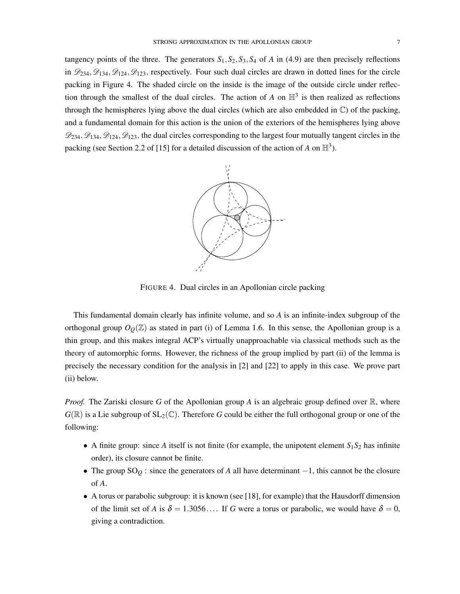tangency points of the three. The generators  $S_1$ ,  $S_2$ ,  $S_3$ ,  $S_4$  of *A* in (4.9) are then precisely reflections in  $\mathcal{D}_{234}$ ,  $\mathcal{D}_{134}$ ,  $\mathcal{D}_{124}$ ,  $\mathcal{D}_{123}$ , respectively. Four such dual circles are drawn in dotted lines for the circle packing in Figure 4. The shaded circle on the inside is the image of the outside circle under reflection through the smallest of the dual circles. The action of  $A$  on  $\mathbb{H}^3$  is then realized as reflections through the hemispheres lying above the dual circles (which are also embedded in C) of the packing, and a fundamental domain for this action is the union of the exteriors of the hemispheres lying above  $\mathcal{D}_{234}, \mathcal{D}_{134}, \mathcal{D}_{124}, \mathcal{D}_{123}$ , the dual circles corresponding to the largest four mutually tangent circles in the packing (see Section 2.2 of [15] for a detailed discussion of the action of *A* on  $\mathbb{H}^3$ ).



FIGURE 4. Dual circles in an Apollonian circle packing

This fundamental domain clearly has infinite volume, and so *A* is an infinite-index subgroup of the orthogonal group  $O<sub>O</sub>(\mathbb{Z})$  as stated in part (i) of Lemma 1.6. In this sense, the Apollonian group is a thin group, and this makes integral ACP's virtually unapproachable via classical methods such as the theory of automorphic forms. However, the richness of the group implied by part (ii) of the lemma is precisely the necessary condition for the analysis in [2] and [22] to apply in this case. We prove part (ii) below.

*Proof.* The Zariski closure G of the Apollonian group A is an algebraic group defined over  $\mathbb{R}$ , where  $G(\mathbb{R})$  is a Lie subgroup of  $SL_2(\mathbb{C})$ . Therefore *G* could be either the full orthogonal group or one of the following:

- A finite group: since *A* itself is not finite (for example, the unipotent element  $S_1S_2$  has infinite order), its closure cannot be finite.
- *•* The group SO*<sup>Q</sup>* : since the generators of *A* all have determinant −1, this cannot be the closure of *A*.
- A torus or parabolic subgroup: it is known (see [18], for example) that the Hausdorff dimension of the limit set of *A* is  $\delta = 1.3056...$  If *G* were a torus or parabolic, we would have  $\delta = 0$ , giving a contradiction.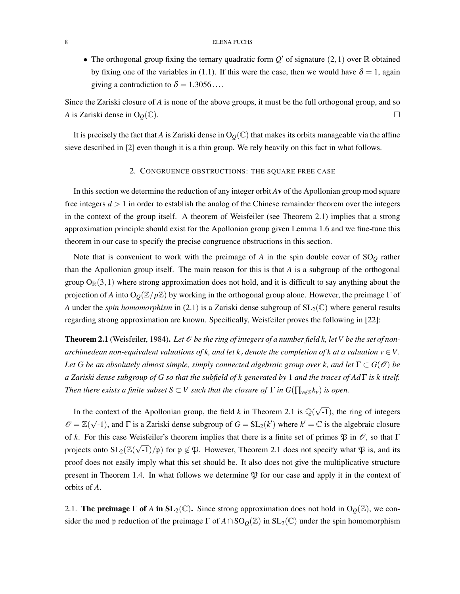• The orthogonal group fixing the ternary quadratic form  $Q'$  of signature (2, 1) over R obtained by fixing one of the variables in (1.1). If this were the case, then we would have  $\delta = 1$ , again giving a contradiction to  $\delta = 1.3056...$ 

Since the Zariski closure of *A* is none of the above groups, it must be the full orthogonal group, and so *A* is Zariski dense in O<sub>Q</sub>( $\mathbb{C}$ ).

It is precisely the fact that *A* is Zariski dense in  $O<sub>Q</sub>(\mathbb{C})$  that makes its orbits manageable via the affine sieve described in [2] even though it is a thin group. We rely heavily on this fact in what follows.

## 2. CONGRUENCE OBSTRUCTIONS: THE SQUARE FREE CASE

In this section we determine the reduction of any integer orbit *A*v of the Apollonian group mod square free integers  $d > 1$  in order to establish the analog of the Chinese remainder theorem over the integers in the context of the group itself. A theorem of Weisfeiler (see Theorem 2.1) implies that a strong approximation principle should exist for the Apollonian group given Lemma 1.6 and we fine-tune this theorem in our case to specify the precise congruence obstructions in this section.

Note that is convenient to work with the preimage of *A* in the spin double cover of SO*<sup>Q</sup>* rather than the Apollonian group itself. The main reason for this is that *A* is a subgroup of the orthogonal group  $O_{\mathbb{R}}(3,1)$  where strong approximation does not hold, and it is difficult to say anything about the projection of *A* into O*Q*(Z*/p*Z) by working in the orthogonal group alone. However, the preimage Γ of *A* under the *spin homomorphism* in (2.1) is a Zariski dense subgroup of  $SL_2(\mathbb{C})$  where general results regarding strong approximation are known. Specifically, Weisfeiler proves the following in [22]:

**Theorem 2.1** (Weisfeiler, 1984). Let  $\mathcal O$  be the ring of integers of a number field k, let V be the set of non*archimedean non-equivalent valuations of k, and let k<sub>v</sub> denote the completion of k at a valuation*  $v \in V$ *. Let G* be an absolutely almost simple, simply connected algebraic group over k, and let  $\Gamma \subset G(\mathcal{O})$  be *a Zariski dense subgroup of G so that the subfield of k generated by* 1 *and the traces of Ad* Γ *is k itself. Then there exists a finite subset*  $S \subset V$  *such that the closure of*  $\Gamma$  *in*  $G(\prod_{v \notin S} k_v)$  *is open.* 

In the context of the Apollonian group, the field *k* in Theorem 2.1 is  $\mathbb{Q}(\sqrt{-1})$ , the ring of integers  $\mathscr{O} = \mathbb{Z}(\sqrt{-1})$ , and  $\Gamma$  is a Zariski dense subgroup of  $G = SL_2(k')$  where  $k' = \mathbb{C}$  is the algebraic closure of *k*. For this case Weisfeiler's theorem implies that there is a finite set of primes  $\mathfrak P$  in  $\mathcal O$ , so that Γ projects onto  $SL_2(\mathbb{Z}(\sqrt{-1})/\mathfrak{p})$  for  $\mathfrak{p} \notin \mathfrak{P}$ . However, Theorem 2.1 does not specify what  $\mathfrak{P}$  is, and its proof does not easily imply what this set should be. It also does not give the multiplicative structure present in Theorem 1.4. In what follows we determine  $\mathfrak P$  for our case and apply it in the context of orbits of *A*.

2.1. **The preimage**  $\Gamma$  of *A* in  $SL_2(\mathbb{C})$ . Since strong approximation does not hold in  $O<sub>Q</sub>(\mathbb{Z})$ , we consider the mod p reduction of the preimage  $\Gamma$  of  $A \cap SO_Q(\mathbb{Z})$  in  $SL_2(\mathbb{C})$  under the spin homomorphism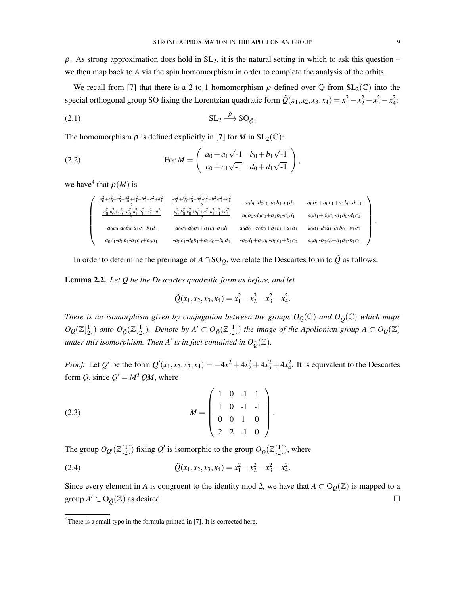$\rho$ . As strong approximation does hold in SL<sub>2</sub>, it is the natural setting in which to ask this question – we then map back to *A* via the spin homomorphism in order to complete the analysis of the orbits.

We recall from [7] that there is a 2-to-1 homomorphism  $\rho$  defined over  $\mathbb Q$  from  $SL_2(\mathbb C)$  into the special orthogonal group SO fixing the Lorentzian quadratic form  $\tilde{Q}(x_1, x_2, x_3, x_4) = x_1^2 - x_2^2 - x_3^2 - x_4^2$ .

$$
\text{SL}_2 \xrightarrow{\rho} \text{SO}_{\tilde{\mathcal{Q}}},
$$

The homomorphism  $\rho$  is defined explicitly in [7] for *M* in  $SL_2(\mathbb{C})$ :

(2.2) For 
$$
M = \begin{pmatrix} a_0 + a_1\sqrt{-1} & b_0 + b_1\sqrt{-1} \\ c_0 + c_1\sqrt{-1} & d_0 + d_1\sqrt{-1} \end{pmatrix}
$$
,

we have<sup>4</sup> that  $\rho(M)$  is

$$
\begin{pmatrix}\n\frac{a_0^2 + b_0^2 + c_0^2 + d_0^2 + a_1^2 + b_1^2 + c_1^2 + d_1^2}{2} & \frac{-a_0^2 + b_0^2 - c_0^2 + d_0^2 - a_1^2 + b_1^2 - c_1^2 + d_1^2}{2} & -a_0b_0 - d_0c_0 - a_1b_1 - c_1d_1 & -a_0b_1 + d_0c_1 + a_1b_0 - d_1c_0 \\
\frac{-a_0^2 + b_0^2 + c_0^2 + d_0^2 - a_1^2 - b_1^2 + c_1^2 + d_1^2}{2} & \frac{a_0^2 + b_0^2 - c_0^2 + d_0^2 + a_1^2 - b_1^2 - c_1^2 + d_1^2}{2} & a_0b_0 - d_0c_0 + a_1b_1 - c_1d_1 & a_0b_1 + d_0c_1 - a_1b_0 - d_1c_0 \\
-a_0c_0 - d_0b_0 - a_1c_1 - b_1d_1 & a_0c_0 - d_0b_0 + a_1c_1 - b_1d_1 & a_0d_0 + c_0b_0 + b_1c_1 + a_1d_1 & a_0d_1 - d_0a_1 - c_1b_0 + b_1c_0 \\
a_0c_1 - d_0b_1 - a_1c_0 + b_0d_1 & -a_0c_1 - d_0b_1 + a_1c_0 + b_0d_1 & -a_0d_1 + a_1d_0 - b_0c_1 + b_1c_0 & a_0d_0 - b_0c_0 + a_1d_1 - b_1c_1\n\end{pmatrix}
$$

In order to determine the preimage of  $A \cap SO<sub>O</sub>$ , we relate the Descartes form to  $\tilde{Q}$  as follows.

Lemma 2.2. *Let Q be the Descartes quadratic form as before, and let*

$$
\tilde{Q}(x_1, x_2, x_3, x_4) = x_1^2 - x_2^2 - x_3^2 - x_4^2.
$$

*There is an isomorphism given by conjugation between the groups*  $O_{Q}(\mathbb{C})$  *and*  $O_{\tilde{O}}(\mathbb{C})$  *which maps*  $O_Q(\mathbb{Z}[\frac{1}{2}])$  *onto*  $O_{\tilde{Q}}(\mathbb{Z}[\frac{1}{2}])$ . Denote by  $A' \subset O_{\tilde{Q}}(\mathbb{Z}[\frac{1}{2}])$  the image of the Apollonian group  $A \subset O_Q(\mathbb{Z})$ *under this isomorphism. Then A' is in fact contained in*  $O_{\tilde{O}}(\mathbb{Z})$ *.* 

*Proof.* Let *Q*<sup>'</sup> be the form  $Q'(x_1, x_2, x_3, x_4) = -4x_1^2 + 4x_2^2 + 4x_3^2 + 4x_4^2$ . It is equivalent to the Descartes form *Q*, since  $Q' = M^TQM$ , where

(2.3) 
$$
M = \begin{pmatrix} 1 & 0 & -1 & 1 \\ 1 & 0 & -1 & -1 \\ 0 & 0 & 1 & 0 \\ 2 & 2 & -1 & 0 \end{pmatrix}.
$$

The group  $O_{Q'}(\mathbb{Z}[\frac{1}{2}])$  fixing  $Q'$  is isomorphic to the group  $O_{\tilde{Q}}(\mathbb{Z}[\frac{1}{2}])$ , where

(2.4) 
$$
\tilde{Q}(x_1, x_2, x_3, x_4) = x_1^2 - x_2^2 - x_3^2 - x_4^2.
$$

Since every element in *A* is congruent to the identity mod 2, we have that  $A \subset O<sub>Q</sub>(\mathbb{Z})$  is mapped to a group  $A' \subset O_{\tilde{O}}(\mathbb{Z})$  as desired.  $\Box$ 

*.*

<sup>&</sup>lt;sup>4</sup>There is a small typo in the formula printed in [7]. It is corrected here.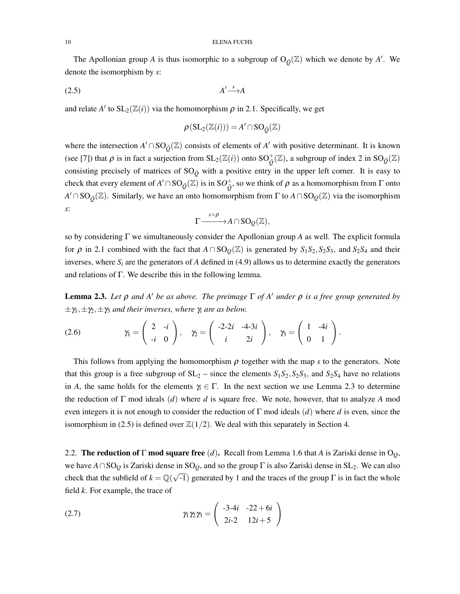The Apollonian group *A* is thus isomorphic to a subgroup of  $O_{\tilde{Q}}(\mathbb{Z})$  which we denote by *A'*. We denote the isomorphism by *s*:

$$
A' \xrightarrow{s} A
$$

and relate *A*<sup> $\prime$ </sup> to  $SL_2(\mathbb{Z}(i))$  via the homomorphism  $\rho$  in 2.1. Specifically, we get

$$
\rho(\mathrm{SL}_2(\mathbb{Z}(i))) = A' \cap \mathrm{SO}_{\tilde{\mathcal{Q}}}(\mathbb{Z})
$$

where the intersection  $A' \cap SO_{\tilde{O}}(\mathbb{Z})$  consists of elements of  $A'$  with positive determinant. It is known (see [7]) that  $\rho$  is in fact a surjection from  $SL_2(\mathbb{Z}(i))$  onto  $SO^+_{\tilde{Q}}(\mathbb{Z})$ , a subgroup of index 2 in  $SO_{\tilde{Q}}(\mathbb{Z})$ consisting precisely of matrices of  $SO_{\tilde{O}}$  with a positive entry in the upper left corner. It is easy to check that every element of  $A' \cap SO_{\tilde{Q}}(\mathbb{Z})$  is in  $SO_{\tilde{Q}}^+$ , so we think of  $\rho$  as a homomorphism from  $\Gamma$  onto *A*<sup> $\wedge$ </sup> ∩SO<sub>Õ</sub>(ℤ). Similarly, we have an onto homomorphism from Γ to *A* ∩SO<sub>*Q*</sub>(ℤ) via the isomorphism *s*:

$$
\Gamma\frac{\sqrt{p}\circ \rho}{\longrightarrow} A\cap \mathrm{SO}_\mathcal{Q}(\mathbb{Z}),
$$

so by considering Γ we simultaneously consider the Apollonian group *A* as well. The explicit formula for  $\rho$  in 2.1 combined with the fact that  $A \cap SO_0(\mathbb{Z})$  is generated by  $S_1S_2, S_2S_3$ , and  $S_2S_4$  and their inverses, where  $S_i$  are the generators of *A* defined in (4.9) allows us to determine exactly the generators and relations of Γ. We describe this in the following lemma.

Lemma 2.3. *Let* ρ *and A*\* *be as above. The preimage* Γ *of A*\* *under* ρ *is a free group generated by*  $\pm \gamma_1, \pm \gamma_2, \pm \gamma_3$  *and their inverses, where*  $\gamma_i$  *are as below.* 

$$
(2.6) \hspace{1cm} \gamma_1 = \left(\begin{array}{cc} 2 & -i \\ -i & 0 \end{array}\right), \hspace{1cm} \gamma_2 = \left(\begin{array}{cc} -2-2i & -4-3i \\ i & 2i \end{array}\right), \hspace{1cm} \gamma_3 = \left(\begin{array}{cc} 1 & -4i \\ 0 & 1 \end{array}\right).
$$

This follows from applying the homomorphism  $\rho$  together with the map *s* to the generators. Note that this group is a free subgroup of  $SL_2$  – since the elements  $S_1S_2$ ,  $S_2S_3$ , and  $S_2S_4$  have no relations in *A*, the same holds for the elements  $\gamma_i \in \Gamma$ . In the next section we use Lemma 2.3 to determine the reduction of Γ mod ideals (*d*) where *d* is square free. We note, however, that to analyze *A* mod even integers it is not enough to consider the reduction of Γ mod ideals (*d*) where *d* is even, since the isomorphism in (2.5) is defined over  $\mathbb{Z}(1/2)$ . We deal with this separately in Section 4.

2.2. The reduction of Γ mod square free (*d*). Recall from Lemma 1.6 that *A* is Zariski dense in O*Q*, we have *A*∩SO*<sup>Q</sup>* is Zariski dense in SO*Q*, and so the group Γ is also Zariski dense in SL2. We can also check that the subfield of  $k = \mathbb{Q}(\sqrt{-1})$  generated by 1 and the traces of the group  $\Gamma$  is in fact the whole field *k*. For example, the trace of

(2.7) 
$$
\gamma_1 \gamma_2 \gamma_3 = \begin{pmatrix} -3.4i & -22 + 6i \\ 2i - 2 & 12i + 5 \end{pmatrix}
$$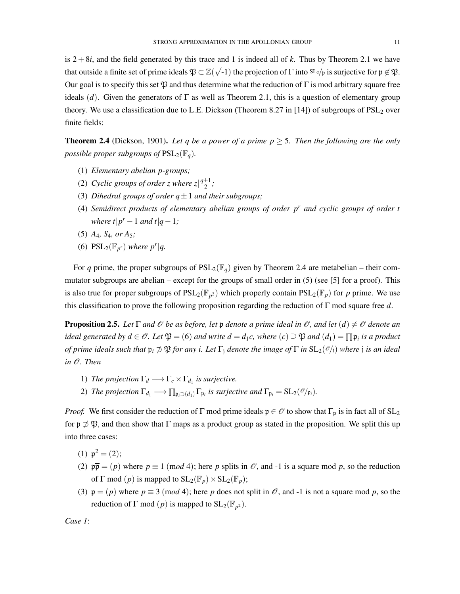is  $2+8i$ , and the field generated by this trace and 1 is indeed all of k. Thus by Theorem 2.1 we have that outside a finite set of prime ideals  $\mathfrak{P} \subset \mathbb{Z}(\sqrt{-1})$  the projection of  $\Gamma$  into  $\mathrm{SL}_2/p$  is surjective for  $\mathfrak{p} \not\in \mathfrak{P}$ . Our goal is to specify this set  $\mathfrak V$  and thus determine what the reduction of Γ is mod arbitrary square free ideals (*d*). Given the generators of  $\Gamma$  as well as Theorem 2.1, this is a question of elementary group theory. We use a classification due to L.E. Dickson (Theorem 8.27 in [14]) of subgroups of  $PSL<sub>2</sub>$  over finite fields:

**Theorem 2.4** (Dickson, 1901). Let q be a power of a prime  $p \geq 5$ . Then the following are the only *possible proper subgroups of*  $PSL_2(\mathbb{F}_q)$ *.* 

- (1) *Elementary abelian p-groups;*
- (2) *Cyclic groups of order z where*  $z\left|\frac{q\pm1}{2}\right|$ *;*
- (3) *Dihedral groups of order q±*1 *and their subgroups;*
- (4) *Semidirect products of elementary abelian groups of order p<sup>r</sup> and cyclic groups of order t where t* $|p^r - 1$  *and t* $|q - 1$ *;*
- (5) *A*4*, S*4*, or A*5*;*
- (6)  $PSL_2(\mathbb{F}_{p^r})$  *where p<sup>r</sup>*|*q*.

For *q* prime, the proper subgroups of  $PSL_2(\mathbb{F}_q)$  given by Theorem 2.4 are metabelian – their commutator subgroups are abelian – except for the groups of small order in (5) (see [5] for a proof). This is also true for proper subgroups of  $PSL_2(\mathbb{F}_{p^2})$  which properly contain  $PSL_2(\mathbb{F}_p)$  for p prime. We use this classification to prove the following proposition regarding the reduction of Γ mod square free *d*.

**Proposition 2.5.** Let  $\Gamma$  and  $\mathcal O$  be as before, let  $\mathfrak p$  denote a prime ideal in  $\mathcal O$ , and let  $(d) \neq \mathcal O$  denote an *ideal generated by*  $d \in \mathcal{O}$ *. Let*  $\mathfrak{P} = (6)$  *and write*  $d = d_1c$ *, where*  $(c) \supseteq \mathfrak{P}$  *and*  $(d_1) = \prod \mathfrak{p}_i$  *is a product of prime ideals such that*  $\mathfrak{p}_i \not\supset \mathfrak{P}$  *for any i. Let*  $\Gamma_i$  *denote the image of*  $\Gamma$  *in*  $SL_2(\mathcal{O}/i)$  *where j is an ideal in O. Then*

- 1) *The projection*  $\Gamma_d \longrightarrow \Gamma_c \times \Gamma_{d_1}$  *is surjective.*
- 2) *The projection*  $\Gamma_{d_1} \longrightarrow \prod_{\mathfrak{p}_i \supseteq (d_1)} \Gamma_{\mathfrak{p}_i}$  *is surjective and*  $\Gamma_{\mathfrak{p}_i} = SL_2(\mathcal{O}/\mathfrak{p}_i)$ *.*

*Proof.* We first consider the reduction of Γ mod prime ideals  $\mathfrak{p} \in \mathcal{O}$  to show that  $\Gamma_{\mathfrak{p}}$  is in fact all of  $SL_2$ for  $p \nsupseteq \mathfrak{P}$ , and then show that  $\Gamma$  maps as a product group as stated in the proposition. We split this up into three cases:

- (1)  $p^2 = (2)$ ;
- (2)  $p\bar{p} = (p)$  where  $p \equiv 1 \pmod{4}$ ; here *p* splits in  $\mathcal{O}$ , and -1 is a square mod *p*, so the reduction of  $\Gamma$  mod  $(p)$  is mapped to  $SL_2(\mathbb{F}_p) \times SL_2(\mathbb{F}_p)$ ;
- (3)  $\mathfrak{p} = (p)$  where  $p \equiv 3 \pmod{4}$ ; here *p* does not split in  $\mathcal{O}$ , and -1 is not a square mod *p*, so the reduction of  $\Gamma$  mod  $(p)$  is mapped to  $SL_2(\mathbb{F}_{p^2})$ .

*Case 1*: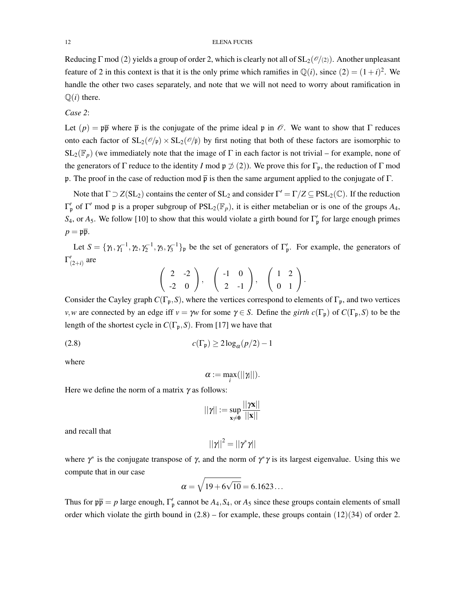Reducing Γ mod (2) yields a group of order 2, which is clearly not all of SL2(*O/*(2)). Another unpleasant feature of 2 in this context is that it is the only prime which ramifies in  $\mathbb{Q}(i)$ , since  $(2)=(1+i)^2$ . We handle the other two cases separately, and note that we will not need to worry about ramification in  $\mathbb{Q}(i)$  there.

*Case 2*:

Let  $(p) = p\overline{p}$  where  $\overline{p}$  is the conjugate of the prime ideal p in  $\mathcal{O}$ . We want to show that  $\Gamma$  reduces onto each factor of  $SL_2(\mathcal{O}/p) \times SL_2(\mathcal{O}/p)$  by first noting that both of these factors are isomorphic to  $SL_2(\mathbb{F}_p)$  (we immediately note that the image of  $\Gamma$  in each factor is not trivial – for example, none of the generators of  $\Gamma$  reduce to the identity *I* mod  $\mathfrak{p} \not\supseteq (2)$ ). We prove this for  $\Gamma_{\mathfrak{p}}$ , the reduction of  $\Gamma$  mod p. The proof in the case of reduction mod  $\bar{p}$  is then the same argument applied to the conjugate of  $\Gamma$ .

Note that  $\Gamma \supset Z(SL_2)$  contains the center of  $SL_2$  and consider  $\Gamma' = \Gamma/Z \subseteq PSL_2(\mathbb{C})$ . If the reduction  $\Gamma'_p$  of Γ' mod p is a proper subgroup of  $PSL_2(\mathbb{F}_p)$ , it is either metabelian or is one of the groups  $A_4$ , *S*<sub>4</sub>, or  $A_5$ . We follow [10] to show that this would violate a girth bound for  $\Gamma'_{\mathfrak{p}}$  for large enough primes  $p = \mathfrak{p}\overline{\mathfrak{p}}.$ 

Let  $S = {\gamma_1, \gamma_1^{-1}, \gamma_2, \gamma_2^{-1}, \gamma_3, \gamma_3^{-1}}\}$ <sub>p</sub> be the set of generators of  $\Gamma'_p$ . For example, the generators of  $\Gamma'_{(2+i)}$  are

$$
\left(\begin{array}{cc}2 & -2 \\ -2 & 0\end{array}\right), \quad \left(\begin{array}{cc} -1 & 0 \\ 2 & -1\end{array}\right), \quad \left(\begin{array}{cc}1 & 2 \\ 0 & 1\end{array}\right).
$$

Consider the Cayley graph  $C(\Gamma_p, S)$ , where the vertices correspond to elements of  $\Gamma_p$ , and two vertices *v*, *w* are connected by an edge iff  $v = \gamma w$  for some  $\gamma \in S$ . Define the *girth c*(Γ<sub>p</sub>) of *C*(Γ<sub>p</sub>,*S*) to be the length of the shortest cycle in  $C(\Gamma_p, S)$ . From [17] we have that

$$
c(\Gamma_{\mathfrak{p}}) \ge 2\log_{\alpha}(p/2) - 1
$$

where

$$
\alpha := \max_i(||\gamma_i||).
$$

Here we define the norm of a matrix  $\gamma$  as follows:

$$
||\gamma||:=\sup_{x\neq 0}\frac{||\gamma x||}{||x||}
$$

and recall that

$$
||\gamma||^2 = ||\gamma^*\gamma||
$$

where  $\gamma^*$  is the conjugate transpose of  $\gamma$ , and the norm of  $\gamma^* \gamma$  is its largest eigenvalue. Using this we compute that in our case

$$
\alpha=\sqrt{19+6\sqrt{10}}=6.1623\ldots
$$

Thus for  $p\bar{p} = p$  large enough,  $\Gamma'_p$  cannot be  $A_4, S_4$ , or  $A_5$  since these groups contain elements of small order which violate the girth bound in  $(2.8)$  – for example, these groups contain  $(12)(34)$  of order 2.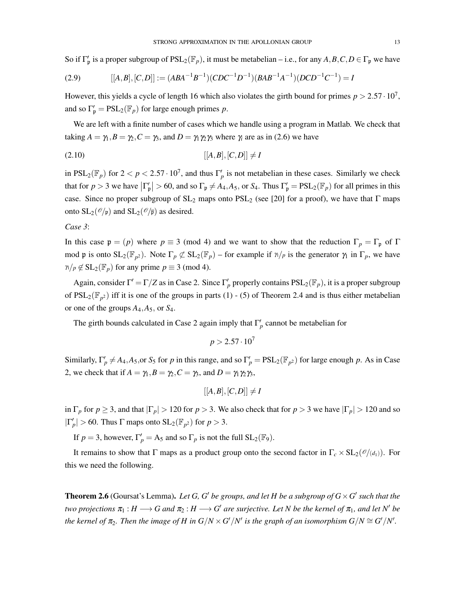So if  $\Gamma'_p$  is a proper subgroup of  $PSL_2(\mathbb{F}_p)$ , it must be metabelian – i.e., for any  $A, B, C, D \in \Gamma_p$  we have

(2.9) 
$$
[[A,B],[C,D]] := (ABA^{-1}B^{-1})(CDC^{-1}D^{-1})(BAB^{-1}A^{-1})(DCD^{-1}C^{-1}) = I
$$

However, this yields a cycle of length 16 which also violates the girth bound for primes  $p > 2.57 \cdot 10^7$ , and so  $\Gamma'_{\mathfrak{p}} = \text{PSL}_2(\mathbb{F}_p)$  for large enough primes *p*.

We are left with a finite number of cases which we handle using a program in Matlab. We check that taking  $A = \gamma_1, B = \gamma_2, C = \gamma_3$ , and  $D = \gamma_1 \gamma_2 \gamma_3$  where  $\gamma_i$  are as in (2.6) we have

$$
[[A,B],[C,D]] \neq I
$$

in  $PSL_2(\mathbb{F}_p)$  for  $2 < p < 2.57 \cdot 10^7$ , and thus  $\Gamma'_p$  is not metabelian in these cases. Similarly we check that for  $p > 3$  we have  $|\Gamma_p' | > 60$ , and so  $\Gamma_p \neq A_4, A_5$ , or  $S_4$ . Thus  $\Gamma_p' = PSL_2(\mathbb{F}_p)$  for all primes in this case. Since no proper subgroup of  $SL_2$  maps onto  $PSL_2$  (see [20] for a proof), we have that  $\Gamma$  maps onto  $SL_2(\mathcal{O}/p)$  and  $SL_2(\mathcal{O}/p)$  as desired.

# *Case 3*:

In this case  $\mathfrak{p} = (p)$  where  $p \equiv 3 \pmod{4}$  and we want to show that the reduction  $\Gamma_p = \Gamma_p$  of  $\Gamma$ mod p is onto  $SL_2(\mathbb{F}_{p^2})$ . Note  $\Gamma_p \not\subset SL_2(\mathbb{F}_p)$  – for example if  $\gamma/p$  is the generator  $\gamma_1$  in  $\Gamma_p$ , we have  $\gamma/p \notin SL_2(\mathbb{F}_p)$  for any prime  $p \equiv 3 \pmod{4}$ .

Again, consider  $\Gamma' = \Gamma/Z$  as in Case 2. Since  $\Gamma'_p$  properly contains  $PSL_2(\mathbb{F}_p)$ , it is a proper subgroup of  $PSL_2(\mathbb{F}_{p^2})$  iff it is one of the groups in parts (1) - (5) of Theorem 2.4 and is thus either metabelian or one of the groups  $A_4$ ,  $A_5$ , or  $S_4$ .

The girth bounds calculated in Case 2 again imply that  $\Gamma'_p$  cannot be metabelian for

$$
p > 2.57 \cdot 10^7
$$

Similarly,  $\Gamma'_p \neq A_4$ ,  $A_5$ , or  $S_5$  for  $p$  in this range, and so  $\Gamma'_p = \text{PSL}_2(\mathbb{F}_{p^2})$  for large enough  $p$ . As in Case 2, we check that if  $A = \gamma_1, B = \gamma_2, C = \gamma_3$ , and  $D = \gamma_1 \gamma_2 \gamma_3$ ,

$$
[[A,B],[C,D]] \neq I
$$

in  $\Gamma_p$  for  $p \geq 3$ , and that  $|\Gamma_p| > 120$  for  $p > 3$ . We also check that for  $p > 3$  we have  $|\Gamma_p| > 120$  and so  $|\Gamma'_p| > 60$ . Thus  $\Gamma$  maps onto  $SL_2(\mathbb{F}_{p^2})$  for  $p > 3$ .

If  $p = 3$ , however,  $\Gamma'_p = A_5$  and so  $\Gamma_p$  is not the full  $SL_2(\mathbb{F}_9)$ .

It remains to show that  $\Gamma$  maps as a product group onto the second factor in  $\Gamma_c \times SL_2(\mathcal{O}/(\mathcal{d}_1))$ . For this we need the following.

**Theorem 2.6** (Goursat's Lemma). Let G, G' be groups, and let H be a subgroup of  $G \times G'$  such that the *two projections*  $\pi_1 : H \longrightarrow G$  *and*  $\pi_2 : H \longrightarrow G'$  *are surjective. Let N be the kernel of*  $\pi_1$ *, and let N' be the kernel of*  $\pi_2$ *. Then the image of H in*  $G/N \times G'/N'$  *is the graph of an isomorphism*  $G/N \cong G'/N'.$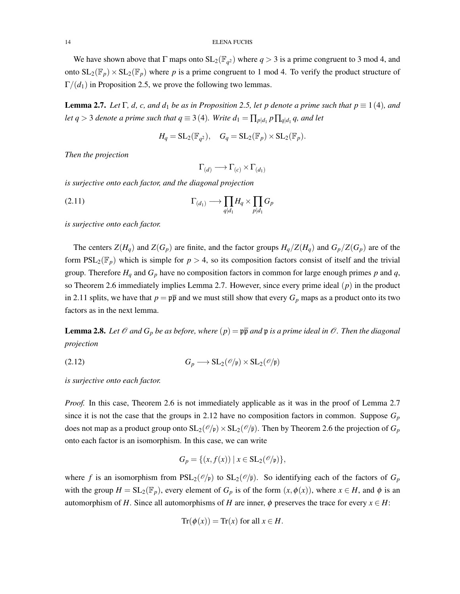We have shown above that  $\Gamma$  maps onto  $SL_2(\mathbb{F}_{q^2})$  where  $q > 3$  is a prime congruent to 3 mod 4, and onto  $SL_2(\mathbb{F}_p) \times SL_2(\mathbb{F}_p)$  where p is a prime congruent to 1 mod 4. To verify the product structure of  $\Gamma/(d_1)$  in Proposition 2.5, we prove the following two lemmas.

**Lemma 2.7.** *Let*  $\Gamma$ , *d*, *c*, and  $d_1$  *be as in Proposition 2.5, let p denote a prime such that*  $p \equiv 1(4)$ *, and let*  $q > 3$  *denote a prime such that*  $q \equiv 3(4)$ *. Write*  $d_1 = \prod_{p \mid d_1} p \prod_{q \mid d_1} q$ *, and let* 

$$
H_q = SL_2(\mathbb{F}_{q^2}), \quad G_q = SL_2(\mathbb{F}_p) \times SL_2(\mathbb{F}_p).
$$

*Then the projection*

 $\Gamma_{(d)} \longrightarrow \Gamma_{(c)} \times \Gamma_{(d_1)}$ 

*is surjective onto each factor, and the diagonal projection*

(2.11) 
$$
\Gamma_{(d_1)} \longrightarrow \prod_{q \mid d_1} H_q \times \prod_{p \mid d_1} G_p
$$

*is surjective onto each factor.*

The centers  $Z(H_q)$  and  $Z(G_p)$  are finite, and the factor groups  $H_q/Z(H_q)$  and  $G_p/Z(G_p)$  are of the form  $PSL_2(\mathbb{F}_p)$  which is simple for  $p > 4$ , so its composition factors consist of itself and the trivial group. Therefore  $H_q$  and  $G_p$  have no composition factors in common for large enough primes  $p$  and  $q$ , so Theorem 2.6 immediately implies Lemma 2.7. However, since every prime ideal (*p*) in the product in 2.11 splits, we have that  $p = \frac{p\overline{p}}{p}$  and we must still show that every  $G_p$  maps as a product onto its two factors as in the next lemma.

**Lemma 2.8.** Let  $\mathcal O$  and  $G_p$  be as before, where  $(p) = \mathfrak{p} \overline{p}$  and  $\mathfrak{p}$  is a prime ideal in  $\mathcal O$ . Then the diagonal *projection*

(2.12) 
$$
G_p \longrightarrow SL_2(\mathscr{O}/\mathfrak{p}) \times SL_2(\mathscr{O}/\mathfrak{p})
$$

*is surjective onto each factor.*

*Proof.* In this case, Theorem 2.6 is not immediately applicable as it was in the proof of Lemma 2.7 since it is not the case that the groups in 2.12 have no composition factors in common. Suppose  $G_p$ does not map as a product group onto  $SL_2(\mathcal{O}/p) \times SL_2(\mathcal{O}/p)$ . Then by Theorem 2.6 the projection of  $G_p$ onto each factor is an isomorphism. In this case, we can write

$$
G_p = \{ (x, f(x)) \mid x \in SL_2(\mathscr{O}/\mathfrak{p}) \},
$$

where *f* is an isomorphism from  $PSL_2(\mathcal{O}/p)$  to  $SL_2(\mathcal{O}/p)$ . So identifying each of the factors of  $G_p$ with the group  $H = SL_2(\mathbb{F}_p)$ , every element of  $G_p$  is of the form  $(x, \phi(x))$ , where  $x \in H$ , and  $\phi$  is an automorphism of *H*. Since all automorphisms of *H* are inner,  $\phi$  preserves the trace for every  $x \in H$ :

$$
Tr(\phi(x)) = Tr(x) \text{ for all } x \in H.
$$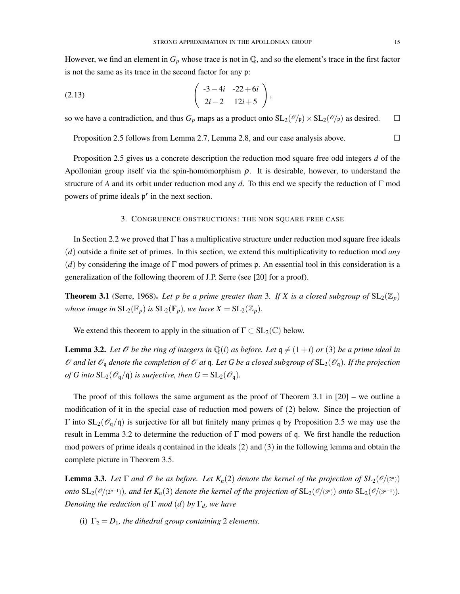However, we find an element in  $G_p$  whose trace is not in  $\mathbb Q$ , and so the element's trace in the first factor is not the same as its trace in the second factor for any p:

(2.13) 
$$
\left(\begin{array}{cc} -3-4i & -22+6i \\ 2i-2 & 12i+5 \end{array}\right),
$$

so we have a contradiction, and thus  $G_p$  maps as a product onto  $SL_2(\mathcal{O}/p) \times SL_2(\mathcal{O}/\overline{p})$  as desired.  $\Box$ 

Proposition 2.5 follows from Lemma 2.7, Lemma 2.8, and our case analysis above.  $\Box$ 

Proposition 2.5 gives us a concrete description the reduction mod square free odd integers *d* of the Apollonian group itself via the spin-homomorphism  $\rho$ . It is desirable, however, to understand the structure of *A* and its orbit under reduction mod any *d*. To this end we specify the reduction of Γ mod powers of prime ideals p*<sup>r</sup>* in the next section.

# 3. CONGRUENCE OBSTRUCTIONS: THE NON SQUARE FREE CASE

In Section 2.2 we proved that Γ has a multiplicative structure under reduction mod square free ideals (*d*) outside a finite set of primes. In this section, we extend this multiplicativity to reduction mod *any* (*d*) by considering the image of  $\Gamma$  mod powers of primes p. An essential tool in this consideration is a generalization of the following theorem of J.P. Serre (see [20] for a proof).

**Theorem 3.1** (Serre, 1968). Let p be a prime greater than 3. If X is a closed subgroup of  $SL_2(\mathbb{Z}_p)$ *whose image in*  $SL_2(\mathbb{F}_p)$  *is*  $SL_2(\mathbb{F}_p)$ *, we have*  $X = SL_2(\mathbb{Z}_p)$ *.* 

We extend this theorem to apply in the situation of  $\Gamma \subset SL_2(\mathbb{C})$  below.

**Lemma 3.2.** Let  $\mathcal O$  be the ring of integers in  $\mathbb Q(i)$  as before. Let  $q \neq (1+i)$  or (3) be a prime ideal in  $\mathcal O$  *and let*  $\mathcal O_q$  *denote the completion of*  $\mathcal O$  *at*  $q$ *. Let* G *be a closed subgroup of*  $SL_2(\mathcal O_q)$ *. If the projection of G into*  $SL_2(\mathcal{O}_\mathfrak{q}/\mathfrak{q})$  *is surjective, then*  $G = SL_2(\mathcal{O}_\mathfrak{q})$ *.* 

The proof of this follows the same argument as the proof of Theorem 3.1 in [20] – we outline a modification of it in the special case of reduction mod powers of (2) below. Since the projection of Γ into SL<sub>2</sub>( $\mathcal{O}_q$ /q) is surjective for all but finitely many primes q by Proposition 2.5 we may use the result in Lemma 3.2 to determine the reduction of  $\Gamma$  mod powers of q. We first handle the reduction mod powers of prime ideals q contained in the ideals (2) and (3) in the following lemma and obtain the complete picture in Theorem 3.5.

**Lemma 3.3.** Let  $\Gamma$  and  $\mathcal O$  be as before. Let  $K_n(2)$  denote the kernel of the projection of  $SL_2(\mathcal O/(2^n))$ *onto*  $SL_2(\mathcal{O}/(2^{n-1}))$ *, and let*  $K_n(3)$  *denote the kernel of the projection of*  $SL_2(\mathcal{O}/(3^n))$  *onto*  $SL_2(\mathcal{O}/(3^{n-1}))$ *. Denoting the reduction of*  $\Gamma$  *mod* (*d*) *by*  $\Gamma$ <sub>*d</sub>*, *we have*</sub>

(i)  $\Gamma_2 = D_1$ *, the dihedral group containing* 2 *elements.*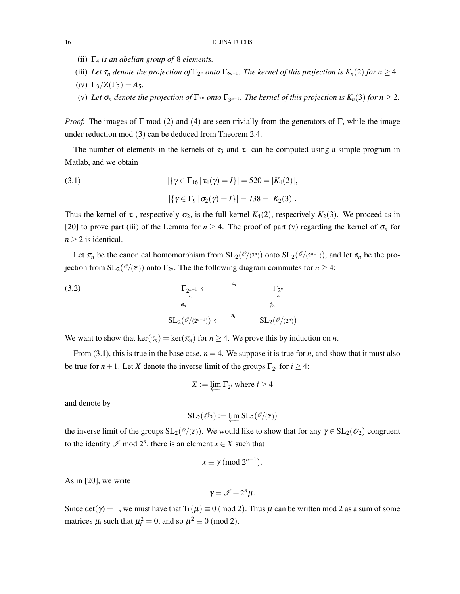- (ii) Γ<sup>4</sup> *is an abelian group of* 8 *elements.*
- (iii) Let  $\tau_n$  denote the projection of  $\Gamma_{2^n}$  onto  $\Gamma_{2^{n-1}}$ . The kernel of this projection is  $K_n(2)$  for  $n \geq 4$ .
- (iv)  $\Gamma_3/Z(\Gamma_3) = A_5$ .
- (v) Let  $\sigma_n$  denote the projection of  $\Gamma_{3^n}$  onto  $\Gamma_{3^{n-1}}$ . The kernel of this projection is  $K_n(3)$  for  $n \geq 2$ .

*Proof.* The images of  $\Gamma$  mod (2) and (4) are seen trivially from the generators of  $\Gamma$ , while the image under reduction mod (3) can be deduced from Theorem 2.4.

The number of elements in the kernels of  $\tau_3$  and  $\tau_4$  can be computed using a simple program in Matlab, and we obtain

(3.1) 
$$
|\{\gamma \in \Gamma_{16} | \tau_4(\gamma) = I\}| = 520 = |K_4(2)|,
$$

$$
|\{\gamma \in \Gamma_9 | \sigma_2(\gamma) = I\}| = 738 = |K_2(3)|.
$$

Thus the kernel of  $\tau_4$ , respectively  $\sigma_2$ , is the full kernel  $K_4(2)$ , respectively  $K_2(3)$ . We proceed as in [20] to prove part (iii) of the Lemma for  $n \geq 4$ . The proof of part (v) regarding the kernel of  $\sigma_n$  for  $n \geq 2$  is identical.

Let  $\pi_n$  be the canonical homomorphism from  $SL_2(\mathcal{O}/(2^n))$  onto  $SL_2(\mathcal{O}/(2^{n-1}))$ , and let  $\phi_n$  be the projection from  $SL_2(\mathcal{O}/(2^n))$  onto  $\Gamma_{2^n}$ . The the following diagram commutes for  $n \geq 4$ :

(3.2) 
$$
\Gamma_{2^{n-1}} \xleftarrow{\tau_n} \Gamma_{2^n}
$$

$$
\phi_n \uparrow \phi_n \uparrow \phi_n \uparrow \phi_n \uparrow \phi_n \uparrow \gamma
$$

$$
SL_2(\mathscr{O}/(2^{n-1})) \xleftarrow{\pi_n} SL_2(\mathscr{O}/(2^n))
$$

We want to show that ker( $\tau_n$ ) = ker( $\pi_n$ ) for  $n \geq 4$ . We prove this by induction on *n*.

From (3.1), this is true in the base case,  $n = 4$ . We suppose it is true for *n*, and show that it must also be true for *n* + 1. Let *X* denote the inverse limit of the groups  $\Gamma_{2^i}$  for  $i \geq 4$ :

$$
X := \varprojlim \Gamma_{2^i} \text{ where } i \geq 4
$$

and denote by

$$
SL_2(\mathscr{O}_2) := \varprojlim SL_2(\mathscr{O}/(2^i))
$$

the inverse limit of the groups  $SL_2(\mathcal{O}/(2^i))$ . We would like to show that for any  $\gamma \in SL_2(\mathcal{O}_2)$  congruent to the identity  $\mathscr I$  mod  $2^n$ , there is an element  $x \in X$  such that

$$
x \equiv \gamma \, (\text{mod } 2^{n+1}).
$$

As in [20], we write

$$
\gamma = \mathscr{I} + 2^n \mu.
$$

Since  $det(\gamma) = 1$ , we must have that  $Tr(\mu) \equiv 0 \pmod{2}$ . Thus  $\mu$  can be written mod 2 as a sum of some matrices  $\mu_i$  such that  $\mu_i^2 = 0$ , and so  $\mu^2 \equiv 0 \pmod{2}$ .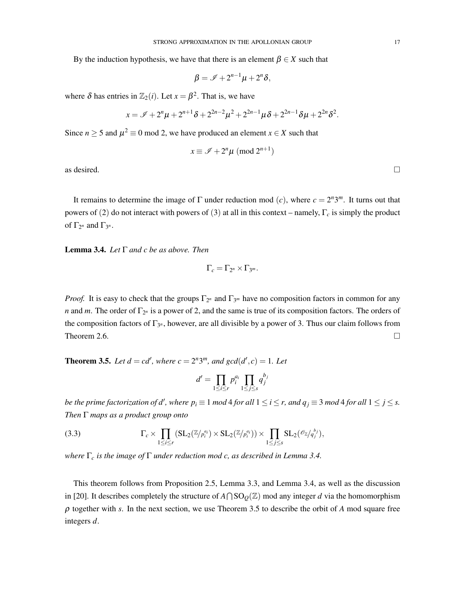By the induction hypothesis, we have that there is an element  $\beta \in X$  such that

$$
\beta = \mathscr{I} + 2^{n-1}\mu + 2^n\delta,
$$

where  $\delta$  has entries in  $\mathbb{Z}_2(i)$ . Let  $x = \beta^2$ . That is, we have

$$
x = \mathscr{I} + 2^{n} \mu + 2^{n+1} \delta + 2^{2n-2} \mu^{2} + 2^{2n-1} \mu \delta + 2^{2n-1} \delta \mu + 2^{2n} \delta^{2}.
$$

Since  $n \ge 5$  and  $\mu^2 \equiv 0$  mod 2, we have produced an element  $x \in X$  such that

$$
x \equiv \mathscr{I} + 2^n \mu \pmod{2^{n+1}}
$$

as desired.  $\Box$ 

It remains to determine the image of  $\Gamma$  under reduction mod (*c*), where  $c = 2^n 3^m$ . It turns out that powers of (2) do not interact with powers of (3) at all in this context – namely, Γ*<sup>c</sup>* is simply the product of  $\Gamma_{2^n}$  and  $\Gamma_{3^n}$ .

Lemma 3.4. *Let* Γ *and c be as above. Then*

$$
\Gamma_c=\Gamma_{2^n}\times\Gamma_{3^m}.
$$

*Proof.* It is easy to check that the groups  $\Gamma_{2^n}$  and  $\Gamma_{3^m}$  have no composition factors in common for any *n* and *m*. The order of  $\Gamma_{2^n}$  is a power of 2, and the same is true of its composition factors. The orders of the composition factors of  $\Gamma_{3^n}$ , however, are all divisible by a power of 3. Thus our claim follows from Theorem 2.6.  $\Box$ 

**Theorem 3.5.** *Let*  $d = cd'$ , *where*  $c = 2^n 3^m$ *, and*  $gcd(d', c) = 1$ *. Let* 

$$
d' = \prod_{1 \le i \le r} p_i^{a_i} \prod_{1 \le j \le s} q_j^{b_j}
$$

*be the prime factorization of*  $d'$ *, where*  $p_i \equiv 1$  $mod$  $4$  *<i>for all*  $1 \leq i \leq r$ ,  $and$   $q_j \equiv 3$   $mod$   $4$  *for all*  $1 \leq j \leq s$ . *Then* Γ *maps as a product group onto*

(3.3) 
$$
\Gamma_c \times \prod_{1 \leq i \leq r} (\mathrm{SL}_2(\mathbb{Z}/p_i^{a_i}) \times \mathrm{SL}_2(\mathbb{Z}/p_i^{a_i})) \times \prod_{1 \leq j \leq s} \mathrm{SL}_2(\mathscr{O}_{\mathbb{Z}}/q_j^{b_j}),
$$

*where* Γ*<sup>c</sup> is the image of* Γ *under reduction mod c, as described in Lemma 3.4.*

This theorem follows from Proposition 2.5, Lemma 3.3, and Lemma 3.4, as well as the discussion in [20]. It describes completely the structure of  $A \cap SO_0(\mathbb{Z})$  mod any integer *d* via the homomorphism  $\rho$  together with *s*. In the next section, we use Theorem 3.5 to describe the orbit of *A* mod square free integers *d*.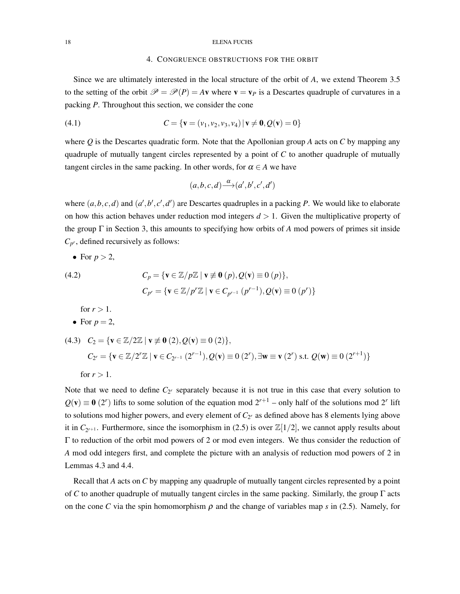### 4. CONGRUENCE OBSTRUCTIONS FOR THE ORBIT

Since we are ultimately interested in the local structure of the orbit of *A*, we extend Theorem 3.5 to the setting of the orbit  $\mathcal{P} = \mathcal{P}(P) = A\mathbf{v}$  where  $\mathbf{v} = \mathbf{v}_P$  is a Descartes quadruple of curvatures in a packing *P*. Throughout this section, we consider the cone

(4.1) 
$$
C = \{ \mathbf{v} = (v_1, v_2, v_3, v_4) | \mathbf{v} \neq \mathbf{0}, Q(\mathbf{v}) = 0 \}
$$

where *Q* is the Descartes quadratic form. Note that the Apollonian group *A* acts on *C* by mapping any quadruple of mutually tangent circles represented by a point of *C* to another quadruple of mutually tangent circles in the same packing. In other words, for  $\alpha \in A$  we have

$$
(a,b,c,d) \mathop{\longrightarrow}\limits^{\alpha}(a',b',c',d')
$$

where  $(a, b, c, d)$  and  $(a', b', c', d')$  are Descartes quadruples in a packing *P*. We would like to elaborate on how this action behaves under reduction mod integers *d >* 1. Given the multiplicative property of the group Γ in Section 3, this amounts to specifying how orbits of *A* mod powers of primes sit inside  $C_{p^r}$ , defined recursively as follows:

• For 
$$
p > 2
$$
,

(4.2) 
$$
C_p = \{ \mathbf{v} \in \mathbb{Z}/p\mathbb{Z} \mid \mathbf{v} \neq \mathbf{0} \ (p), Q(\mathbf{v}) \equiv 0 \ (p) \},
$$

$$
C_{p^r} = \{ \mathbf{v} \in \mathbb{Z}/p^r\mathbb{Z} \mid \mathbf{v} \in C_{p^{r-1}} \ (p^{r-1}), Q(\mathbf{v}) \equiv 0 \ (p^r) \}
$$

for  $r > 1$ .

• For 
$$
p = 2
$$
,

(4.3) 
$$
C_2 = \{ \mathbf{v} \in \mathbb{Z}/2\mathbb{Z} \mid \mathbf{v} \not\equiv \mathbf{0} (2), Q(\mathbf{v}) \equiv 0 (2) \},
$$
  
\n $C_{2^r} = \{ \mathbf{v} \in \mathbb{Z}/2^r\mathbb{Z} \mid \mathbf{v} \in C_{2^{r-1}} (2^{r-1}), Q(\mathbf{v}) \equiv 0 (2^r), \exists \mathbf{w} \equiv \mathbf{v} (2^r) \text{ s.t. } Q(\mathbf{w}) \equiv 0 (2^{r+1}) \}$   
\nfor  $r > 1$ .

Note that we need to define  $C_{2^r}$  separately because it is not true in this case that every solution to  $Q(\mathbf{v}) \equiv \mathbf{0}$  (2<sup>*r*</sup>) lifts to some solution of the equation mod  $2^{r+1}$  – only half of the solutions mod 2<sup>*r*</sup> lift to solutions mod higher powers, and every element of  $C_{2r}$  as defined above has 8 elements lying above it in  $C_{2^{r+1}}$ . Furthermore, since the isomorphism in (2.5) is over  $\mathbb{Z}[1/2]$ , we cannot apply results about Γ to reduction of the orbit mod powers of 2 or mod even integers. We thus consider the reduction of *A* mod odd integers first, and complete the picture with an analysis of reduction mod powers of 2 in Lemmas 4.3 and 4.4.

Recall that *A* acts on *C* by mapping any quadruple of mutually tangent circles represented by a point of *C* to another quadruple of mutually tangent circles in the same packing. Similarly, the group Γ acts on the cone *C* via the spin homomorphism  $\rho$  and the change of variables map *s* in (2.5). Namely, for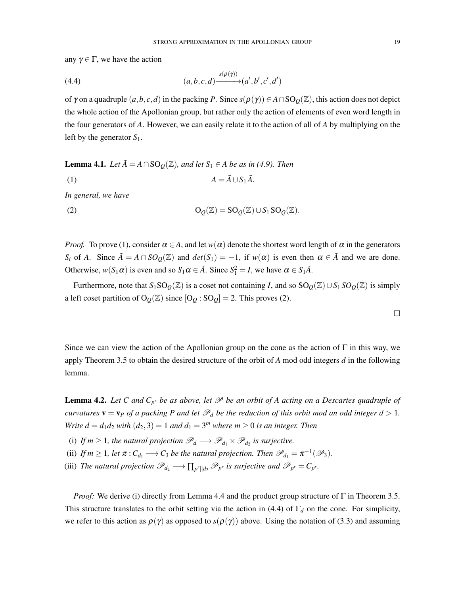any  $\gamma \in \Gamma$ , we have the action

$$
(4.4) \qquad (a,b,c,d) \xrightarrow{s(\rho(\gamma))} (a',b',c',d')
$$

of  $\gamma$  on a quadruple  $(a, b, c, d)$  in the packing *P*. Since  $s(\rho(\gamma)) \in A \cap SO_0(\mathbb{Z})$ , this action does not depict the whole action of the Apollonian group, but rather only the action of elements of even word length in the four generators of *A*. However, we can easily relate it to the action of all of *A* by multiplying on the left by the generator *S*1.

**Lemma 4.1.** *Let*  $\tilde{A} = A \cap SO_0(\mathbb{Z})$ *, and let*  $S_1 \in A$  *be as in (4.9). Then* (1)  $A = \tilde{A} \cup S_1 \tilde{A}.$ 

*In general, we have*

(2) 
$$
\mathcal{O}_{\mathcal{Q}}(\mathbb{Z}) = \mathcal{SO}_{\mathcal{Q}}(\mathbb{Z}) \cup \mathcal{S}_1 \mathcal{SO}_{\mathcal{Q}}(\mathbb{Z}).
$$

*Proof.* To prove (1), consider  $\alpha \in A$ , and let  $w(\alpha)$  denote the shortest word length of  $\alpha$  in the generators *S<sub>i</sub>* of *A*. Since  $\tilde{A} = A \cap SO_{\mathcal{Q}}(\mathbb{Z})$  and  $det(S_1) = -1$ , if  $w(\alpha)$  is even then  $\alpha \in \tilde{A}$  and we are done. Otherwise,  $w(S_1 \alpha)$  is even and so  $S_1 \alpha \in \tilde{A}$ . Since  $S_1^2 = I$ , we have  $\alpha \in S_1 \tilde{A}$ .

Furthermore, note that  $S_1SO_0(\mathbb{Z})$  is a coset not containing *I*, and so  $SO_0(\mathbb{Z})\cup S_1SO_0(\mathbb{Z})$  is simply a left coset partition of  $O_{Q}(\mathbb{Z})$  since  $[O_{Q}: SO_{Q}] = 2$ . This proves (2).

Since we can view the action of the Apollonian group on the cone as the action of  $\Gamma$  in this way, we apply Theorem 3.5 to obtain the desired structure of the orbit of *A* mod odd integers *d* in the following lemma.

**Lemma 4.2.** Let C and  $C_{p^r}$  be as above, let  $\mathcal{P}$  be an orbit of A acting on a Descartes quadruple of *curvatures*  $\mathbf{v} = \mathbf{v}_P$  *of a packing* P *and let*  $\mathcal{P}_d$  *be the reduction of this orbit mod an odd integer*  $d > 1$ *. Write*  $d = d_1 d_2$  *with*  $(d_2, 3) = 1$  *and*  $d_1 = 3^m$  *where*  $m \ge 0$  *is an integer. Then* 

- (i) If  $m \geq 1$ , the natural projection  $\mathscr{P}_d \longrightarrow \mathscr{P}_{d_1} \times \mathscr{P}_{d_2}$  is surjective.
- (ii) *If*  $m \geq 1$ *, let*  $\pi$  :  $C_{d_1} \longrightarrow C_3$  *be the natural projection. Then*  $\mathscr{P}_{d_1} = \pi^{-1}(\mathscr{P}_3)$ *.*
- (iii) *The natural projection*  $\mathscr{P}_{d_2} \longrightarrow \prod_{p^r||d_2} \mathscr{P}_{p^r}$  *is surjective and*  $\mathscr{P}_{p^r} = C_{p^r}$ *.*

*Proof:* We derive (i) directly from Lemma 4.4 and the product group structure of  $\Gamma$  in Theorem 3.5. This structure translates to the orbit setting via the action in (4.4) of  $\Gamma_d$  on the cone. For simplicity, we refer to this action as  $\rho(\gamma)$  as opposed to  $s(\rho(\gamma))$  above. Using the notation of (3.3) and assuming

 $\Box$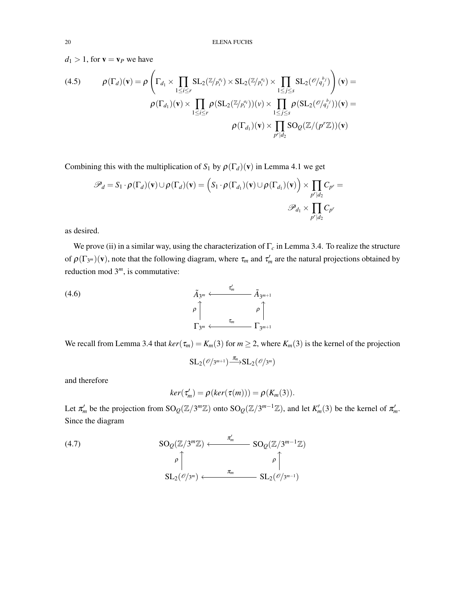$d_1 > 1$ , for  $\mathbf{v} = \mathbf{v}_P$  we have

(4.5) 
$$
\rho(\Gamma_d)(\mathbf{v}) = \rho\left(\Gamma_{d_1} \times \prod_{1 \leq i \leq r} SL_2(\mathbb{Z}/p_i^{a_i}) \times SL_2(\mathbb{Z}/p_i^{a_i}) \times \prod_{1 \leq j \leq s} SL_2(\mathcal{O}/q_j^{b_j})\right)(\mathbf{v}) = \rho(\Gamma_{d_1})(\mathbf{v}) \times \prod_{1 \leq i \leq r} \rho(SL_2(\mathbb{Z}/p_i^{a_i}))(v) \times \prod_{1 \leq j \leq s} \rho(SL_2(\mathcal{O}/q_j^{b_j}))(v) = \rho(\Gamma_{d_1})(\mathbf{v}) \times \prod_{p^r|d_2} SO_Q(\mathbb{Z}/(p^r\mathbb{Z}))(v)
$$

Combining this with the multiplication of  $S_1$  by  $\rho(\Gamma_d)(v)$  in Lemma 4.1 we get

$$
\mathscr{P}_d = S_1 \cdot \rho(\Gamma_d)(\mathbf{v}) \cup \rho(\Gamma_d)(\mathbf{v}) = \left(S_1 \cdot \rho(\Gamma_{d_1})(\mathbf{v}) \cup \rho(\Gamma_{d_1})(\mathbf{v})\right) \times \prod_{p^r \mid d_2} C_{p^r} =
$$
  

$$
\mathscr{P}_{d_1} \times \prod_{p^r \mid d_2} C_{p^r}
$$

as desired.

We prove (ii) in a similar way, using the characterization of Γ*<sup>c</sup>* in Lemma 3.4. To realize the structure of  $\rho(\Gamma_{3^m})(v)$ , note that the following diagram, where  $\tau_m$  and  $\tau'_m$  are the natural projections obtained by reduction mod 3*m*, is commutative:

$$
(4.6) \qquad \qquad \tilde{A}_{3^m} \longleftarrow \tilde{A}_{3^{m+1}} \tilde{A}_{3^{m+1}}
$$
\n
$$
\rho \qquad \qquad \rho \qquad \qquad \gamma \qquad \qquad \gamma \qquad \qquad \gamma \qquad \qquad \gamma \qquad \qquad \gamma \qquad \qquad \gamma \qquad \qquad \gamma \qquad \qquad \gamma \qquad \qquad \gamma \qquad \qquad \gamma \qquad \qquad \gamma \qquad \qquad \gamma \qquad \qquad \gamma \qquad \qquad \gamma \qquad \qquad \gamma \qquad \qquad \gamma \qquad \qquad \gamma \qquad \qquad \gamma \qquad \qquad \gamma \qquad \qquad \gamma \qquad \qquad \gamma \qquad \qquad \gamma \qquad \qquad \gamma \qquad \qquad \gamma \qquad \qquad \gamma \qquad \qquad \gamma \qquad \qquad \gamma \qquad \qquad \gamma \qquad \qquad \gamma \qquad \qquad \gamma \qquad \qquad \gamma \qquad \qquad \gamma \qquad \qquad \gamma \qquad \qquad \gamma \qquad \qquad \gamma \qquad \qquad \gamma \qquad \qquad \gamma \qquad \qquad \gamma \qquad \qquad \gamma \qquad \qquad \gamma \qquad \qquad \gamma \qquad \qquad \gamma \qquad \qquad \gamma \qquad \qquad \gamma \qquad \qquad \gamma \qquad \qquad \gamma \qquad \qquad \gamma \qquad \qquad \gamma \qquad \qquad \gamma \qquad \qquad \gamma \qquad \qquad \gamma \qquad \qquad \gamma \qquad \qquad \gamma \qquad \qquad \gamma \qquad \qquad \gamma \qquad \qquad \gamma \qquad \qquad \gamma \qquad \qquad \gamma \qquad \qquad \gamma \qquad \qquad \gamma \qquad \qquad \gamma \qquad \qquad \gamma \qquad \qquad \gamma \qquad \qquad \gamma \qquad \qquad \gamma \qquad \qquad \gamma \qquad \qquad \gamma \qquad \qquad \gamma \qquad \qquad \gamma \qquad \qquad \gamma \qquad \qquad \gamma \qquad \qquad \gamma \qquad \qquad \gamma \qquad \qquad \gamma \qquad \qquad \gamma \qquad \qquad \gamma \qquad \qquad \gamma \qquad \qquad \gamma \qquad \qquad \gamma \qquad \qquad \gamma \qquad \qquad \gamma \qquad \gamma \qquad \qquad \gamma \qquad \gamma \qquad \qquad \gamma \qquad \gamma \qquad \gamma \qquad \gamma \qquad \
$$

We recall from Lemma 3.4 that  $ker(\tau_m) = K_m(3)$  for  $m \ge 2$ , where  $K_m(3)$  is the kernel of the projection

$$
\mathrm{SL}_2(\mathscr{O}/3^{m+1}) \longrightarrow^{\pi_n} \mathrm{SL}_2(\mathscr{O}/3^m)
$$

and therefore

$$
ker(\tau'_{m}) = \rho(ker(\tau(m))) = \rho(K_{m}(3)).
$$

Let  $\pi'_m$  be the projection from  $SO_Q(\mathbb{Z}/3^m\mathbb{Z})$  onto  $SO_Q(\mathbb{Z}/3^{m-1}\mathbb{Z})$ , and let  $K'_m(3)$  be the kernel of  $\pi'_m$ . Since the diagram

(4.7)  
\n
$$
\begin{array}{ccc}\n\text{SO}_{\mathcal{Q}}(\mathbb{Z}/3^m\mathbb{Z}) & \xleftarrow{\pi'_m} & \text{SO}_{\mathcal{Q}}(\mathbb{Z}/3^{m-1}\mathbb{Z}) \\
& \rho \uparrow & & \rho \uparrow \\
& & \text{SL}_{2}(\mathscr{O}/3^m) & \xleftarrow{\pi_m} & \text{SL}_{2}(\mathscr{O}/3^{m-1})\n\end{array}
$$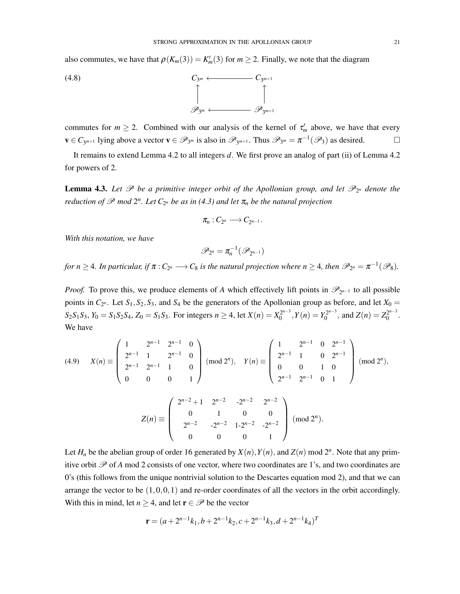also commutes, we have that  $\rho(K_m(3)) = K'_m(3)$  for  $m \ge 2$ . Finally, we note that the diagram

$$
C_{3^m} \longleftarrow C_{3^{m+1}}
$$
\n
$$
\uparrow
$$
\n
$$
\mathscr{P}_{3^m} \longleftarrow \mathscr{P}_{3^{m+1}}
$$

commutes for  $m \ge 2$ . Combined with our analysis of the kernel of  $\tau'_m$  above, we have that every  $\mathbf{v} \in C_{3^{m+1}}$  lying above a vector  $\mathbf{v} \in \mathscr{P}_{3^m}$  is also in  $\mathscr{P}_{3^{m+1}}$ . Thus  $\mathscr{P}_{3^m} = \pi^{-1}(\mathscr{P}_3)$  as desired.  $\Box$ 

It remains to extend Lemma 4.2 to all integers *d*. We first prove an analog of part (ii) of Lemma 4.2 for powers of 2.

**Lemma 4.3.** Let  $\mathscr P$  be a primitive integer orbit of the Apollonian group, and let  $\mathscr P_{2^n}$  denote the *reduction of*  $\mathscr P$  *mod*  $2^n$ *. Let*  $C_{2^n}$  *be as in* (4.3) *and let*  $\pi_n$  *be the natural projection* 

$$
\pi_n:C_{2^n}\longrightarrow C_{2^{n-1}}.
$$

*With this notation, we have*

$$
\mathscr{P}_{2^n}=\pi_n^{-1}(\mathscr{P}_{2^{n-1}})
$$

*for n*  $\geq$  4*. In particular, if*  $\pi$  *:*  $C_{2^n}$   $\longrightarrow$   $C_8$  *is the natural projection where n*  $\geq$  4*, then*  $\mathscr{P}_{2^n} = \pi^{-1}(\mathscr{P}_8)$ *.* 

*Proof.* To prove this, we produce elements of *A* which effectively lift points in  $\mathscr{P}_{2^{n-1}}$  to all possible points in  $C_{2^n}$ . Let  $S_1, S_2, S_3$ , and  $S_4$  be the generators of the Apollonian group as before, and let  $X_0 =$  $S_2S_1S_3$ ,  $Y_0 = S_1S_2S_4$ ,  $Z_0 = S_1S_3$ . For integers  $n \ge 4$ , let  $X(n) = X_0^{2^{n-3}}$ ,  $Y(n) = Y_0^{2^{n-3}}$ , and  $Z(n) = Z_0^{2^{n-3}}$ . We have

$$
(4.9) \quad X(n) \equiv \begin{pmatrix} 1 & 2^{n-1} & 2^{n-1} & 0 \\ 2^{n-1} & 1 & 2^{n-1} & 0 \\ 2^{n-1} & 2^{n-1} & 1 & 0 \\ 0 & 0 & 0 & 1 \end{pmatrix} \pmod{2^n}, \quad Y(n) \equiv \begin{pmatrix} 1 & 2^{n-1} & 0 & 2^{n-1} \\ 2^{n-1} & 1 & 0 & 2^{n-1} \\ 0 & 0 & 1 & 0 \\ 2^{n-1} & 2^{n-1} & 0 & 1 \end{pmatrix} \pmod{2^n},
$$

$$
Z(n) \equiv \begin{pmatrix} 2^{n-2} + 1 & 2^{n-2} & -2^{n-2} & 2^{n-2} \\ 0 & 1 & 0 & 0 \\ 2^{n-2} & -2^{n-2} & 1 - 2^{n-2} & -2^{n-2} \\ 0 & 0 & 0 & 1 \end{pmatrix} \pmod{2^n}.
$$

Let  $H_n$  be the abelian group of order 16 generated by  $X(n)$ ,  $Y(n)$ , and  $Z(n)$  mod  $2^n$ . Note that any primitive orbit  $\mathscr P$  of *A* mod 2 consists of one vector, where two coordinates are 1's, and two coordinates are 0's (this follows from the unique nontrivial solution to the Descartes equation mod 2), and that we can arrange the vector to be (1*,*0*,*0*,*1) and re-order coordinates of all the vectors in the orbit accordingly. With this in mind, let  $n \geq 4$ , and let  $\mathbf{r} \in \mathcal{P}$  be the vector

$$
\mathbf{r} = (a + 2^{n-1}k_1, b + 2^{n-1}k_2, c + 2^{n-1}k_3, d + 2^{n-1}k_4)^T
$$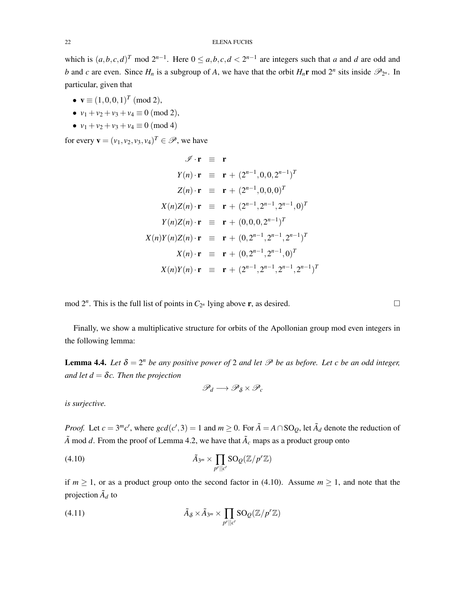which is  $(a, b, c, d)^T$  mod  $2^{n-1}$ . Here  $0 \le a, b, c, d < 2^{n-1}$  are integers such that a and d are odd and *b* and *c* are even. Since  $H_n$  is a subgroup of *A*, we have that the orbit  $H_n$ **r** mod  $2^n$  sits inside  $\mathcal{P}_{2^n}$ . In particular, given that

- $\mathbf{v} \equiv (1,0,0,1)^T \pmod{2}$ ,
- $v_1 + v_2 + v_3 + v_4 \equiv 0 \pmod{2}$ ,
- $v_1 + v_2 + v_3 + v_4 \equiv 0 \pmod{4}$

for every  $\mathbf{v} = (v_1, v_2, v_3, v_4)^T \in \mathcal{P}$ , we have

$$
\mathscr{I} \cdot \mathbf{r} \equiv \mathbf{r}
$$
  
\n
$$
Y(n) \cdot \mathbf{r} \equiv \mathbf{r} + (2^{n-1}, 0, 0, 2^{n-1})^T
$$
  
\n
$$
Z(n) \cdot \mathbf{r} \equiv \mathbf{r} + (2^{n-1}, 0, 0, 0)^T
$$
  
\n
$$
X(n)Z(n) \cdot \mathbf{r} \equiv \mathbf{r} + (2^{n-1}, 2^{n-1}, 2^{n-1}, 0)^T
$$
  
\n
$$
Y(n)Z(n) \cdot \mathbf{r} \equiv \mathbf{r} + (0, 0, 0, 2^{n-1})^T
$$
  
\n
$$
X(n)Y(n)Z(n) \cdot \mathbf{r} \equiv \mathbf{r} + (0, 2^{n-1}, 2^{n-1}, 2^{n-1})^T
$$
  
\n
$$
X(n) \cdot \mathbf{r} \equiv \mathbf{r} + (0, 2^{n-1}, 2^{n-1}, 0)^T
$$
  
\n
$$
X(n)Y(n) \cdot \mathbf{r} \equiv \mathbf{r} + (2^{n-1}, 2^{n-1}, 2^{n-1}, 2^{n-1})^T
$$

mod  $2^n$ . This is the full list of points in  $C_{2^n}$  lying above **r**, as desired.  $\square$ 

Finally, we show a multiplicative structure for orbits of the Apollonian group mod even integers in the following lemma:

**Lemma 4.4.** *Let*  $\delta = 2^n$  *be any positive power of* 2 *and let*  $\mathcal P$  *be as before. Let c be an odd integer, and let*  $d = \delta c$ *. Then the projection* 

$$
\mathscr{P}_d\longrightarrow \mathscr{P}_{\delta}\times \mathscr{P}_c
$$

*is surjective.*

*Proof.* Let  $c = 3^m c'$ , where  $gcd(c', 3) = 1$  and  $m \ge 0$ . For  $\tilde{A} = A \cap SO_Q$ , let  $\tilde{A}_d$  denote the reduction of  $\tilde{A}$  mod *d*. From the proof of Lemma 4.2, we have that  $\tilde{A}_c$  maps as a product group onto

(4.10) 
$$
\tilde{A}_{3^m} \times \prod_{p^r||c'} SO_{\mathcal{Q}}(\mathbb{Z}/p^r\mathbb{Z})
$$

if  $m \ge 1$ , or as a product group onto the second factor in (4.10). Assume  $m \ge 1$ , and note that the projection  $\tilde{A}_d$  to

(4.11) 
$$
\tilde{A}_{\delta} \times \tilde{A}_{3^m} \times \prod_{p^r||c'} SO_Q(\mathbb{Z}/p^r\mathbb{Z})
$$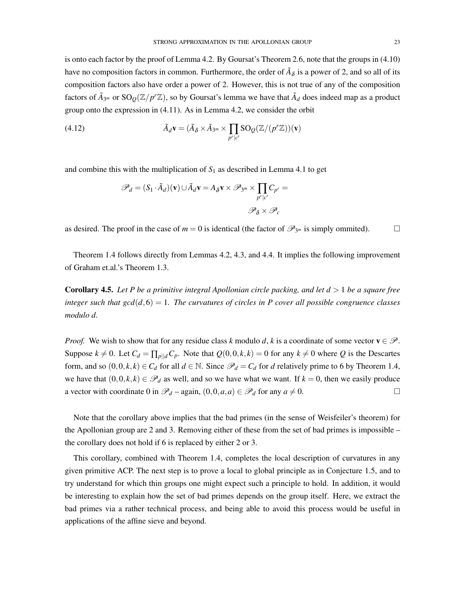is onto each factor by the proof of Lemma 4.2. By Goursat's Theorem 2.6, note that the groups in (4.10) have no composition factors in common. Furthermore, the order of  $\tilde{A}_\delta$  is a power of 2, and so all of its composition factors also have order a power of 2. However, this is not true of any of the composition factors of  $\tilde{A}_{3^m}$  or  $SO_Q(\mathbb{Z}/p^r\mathbb{Z})$ , so by Goursat's lemma we have that  $\tilde{A}_d$  does indeed map as a product group onto the expression in (4.11). As in Lemma 4.2, we consider the orbit

(4.12) 
$$
\tilde{A}_d \mathbf{v} = (\tilde{A}_{\delta} \times \tilde{A}_{3^m} \times \prod_{p^r | c^r} SO_Q(\mathbb{Z}/(p^r \mathbb{Z}))(\mathbf{v})
$$

and combine this with the multiplication of  $S_1$  as described in Lemma 4.1 to get

$$
\mathscr{P}_d = (S_1 \cdot \tilde{A}_d)(\mathbf{v}) \cup \tilde{A}_d \mathbf{v} = A_\delta \mathbf{v} \times \mathscr{P}_{3^m} \times \prod_{p^r \mid c^r} C_{p^r} =
$$
  

$$
\mathscr{P}_\delta \times \mathscr{P}_c
$$

as desired. The proof in the case of  $m = 0$  is identical (the factor of  $\mathscr{P}_{3^m}$  is simply ommited).

Theorem 1.4 follows directly from Lemmas 4.2, 4.3, and 4.4. It implies the following improvement of Graham et.al.'s Theorem 1.3.

Corollary 4.5. *Let P be a primitive integral Apollonian circle packing, and let d >* 1 *be a square free integer such that gcd*( $d$ *,*6) = 1*. The curvatures of circles in P cover all possible congruence classes modulo d.*

*Proof.* We wish to show that for any residue class *k* modulo *d*, *k* is a coordinate of some vector  $v \in \mathcal{P}$ . Suppose  $k \neq 0$ . Let  $C_d = \prod_{p \mid d} C_p$ . Note that  $Q(0,0,k,k) = 0$  for any  $k \neq 0$  where *Q* is the Descartes form, and so  $(0,0,k,k) \in C_d$  for all  $d \in \mathbb{N}$ . Since  $\mathcal{P}_d = C_d$  for *d* relatively prime to 6 by Theorem 1.4, we have that  $(0,0,k,k) \in \mathcal{P}_d$  as well, and so we have what we want. If  $k = 0$ , then we easily produce a vector with coordinate 0 in  $\mathcal{P}_d$  – again,  $(0,0,a,a) \in \mathcal{P}_d$  for any  $a \neq 0$ .

Note that the corollary above implies that the bad primes (in the sense of Weisfeiler's theorem) for the Apollonian group are 2 and 3. Removing either of these from the set of bad primes is impossible – the corollary does not hold if 6 is replaced by either 2 or 3.

This corollary, combined with Theorem 1.4, completes the local description of curvatures in any given primitive ACP. The next step is to prove a local to global principle as in Conjecture 1.5, and to try understand for which thin groups one might expect such a principle to hold. In addition, it would be interesting to explain how the set of bad primes depends on the group itself. Here, we extract the bad primes via a rather technical process, and being able to avoid this process would be useful in applications of the affine sieve and beyond.